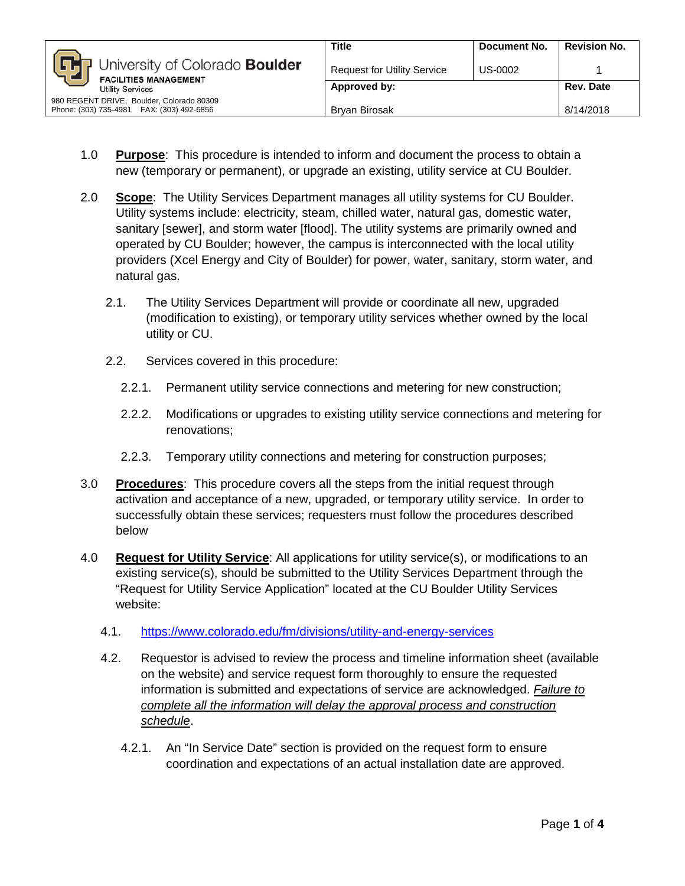|                                                                                         | <b>Title</b>                       | Document No. | <b>Revision No.</b> |
|-----------------------------------------------------------------------------------------|------------------------------------|--------------|---------------------|
| University of Colorado Boulder<br><b>FACILITIES MANAGEMENT</b><br>Utility Services      | <b>Request for Utility Service</b> | US-0002      |                     |
|                                                                                         | Approved by:                       |              | Rev. Date           |
| 980 REGENT DRIVE, Boulder, Colorado 80309<br>Phone: (303) 735-4981  FAX: (303) 492-6856 | <b>Brvan Birosak</b>               |              | 8/14/2018           |

- 1.0 **Purpose**: This procedure is intended to inform and document the process to obtain a new (temporary or permanent), or upgrade an existing, utility service at CU Boulder.
- 2.0 **Scope**: The Utility Services Department manages all utility systems for CU Boulder. Utility systems include: electricity, steam, chilled water, natural gas, domestic water, sanitary [sewer], and storm water [flood]. The utility systems are primarily owned and operated by CU Boulder; however, the campus is interconnected with the local utility providers (Xcel Energy and City of Boulder) for power, water, sanitary, storm water, and natural gas.
	- 2.1. The Utility Services Department will provide or coordinate all new, upgraded (modification to existing), or temporary utility services whether owned by the local utility or CU.
	- 2.2. Services covered in this procedure:
		- 2.2.1. Permanent utility service connections and metering for new construction;
		- 2.2.2. Modifications or upgrades to existing utility service connections and metering for renovations;
		- 2.2.3. Temporary utility connections and metering for construction purposes;
- 3.0 **Procedures**: This procedure covers all the steps from the initial request through activation and acceptance of a new, upgraded, or temporary utility service. In order to successfully obtain these services; requesters must follow the procedures described below
- 4.0 **Request for Utility Service**: All applications for utility service(s), or modifications to an existing service(s), should be submitted to the Utility Services Department through the "Request for Utility Service Application" located at the CU Boulder Utility Services website:
	- 4.1. <https://www.colorado.edu/fm/divisions/utility-and-energy-services>
	- 4.2. Requestor is advised to review the process and timeline information sheet (available on the website) and service request form thoroughly to ensure the requested information is submitted and expectations of service are acknowledged. *Failure to complete all the information will delay the approval process and construction schedule*.
		- 4.2.1. An "In Service Date" section is provided on the request form to ensure coordination and expectations of an actual installation date are approved.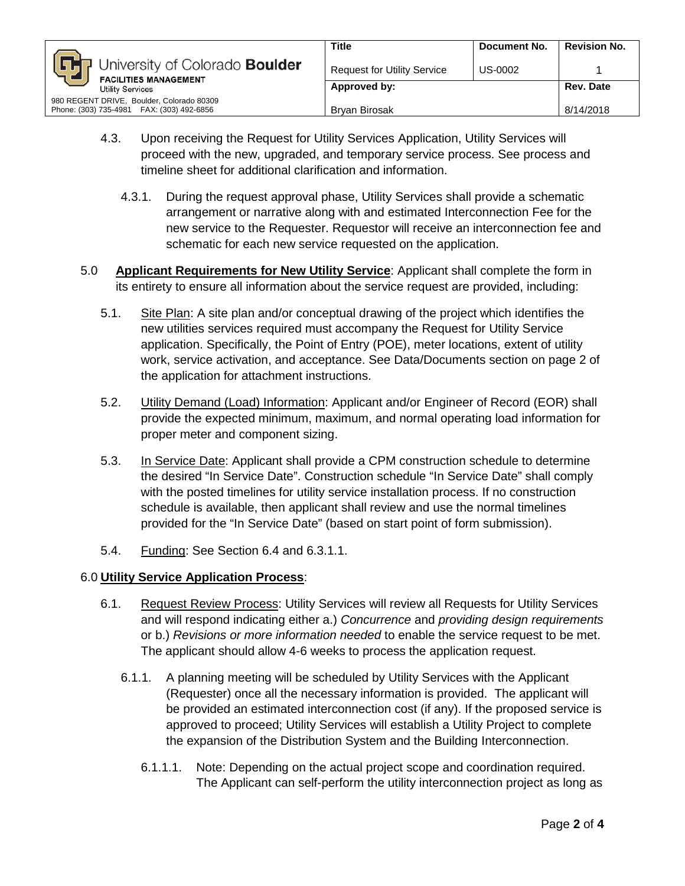

- 4.3. Upon receiving the Request for Utility Services Application, Utility Services will proceed with the new, upgraded, and temporary service process. See process and timeline sheet for additional clarification and information.
	- 4.3.1. During the request approval phase, Utility Services shall provide a schematic arrangement or narrative along with and estimated Interconnection Fee for the new service to the Requester. Requestor will receive an interconnection fee and schematic for each new service requested on the application.
- 5.0 **Applicant Requirements for New Utility Service**: Applicant shall complete the form in its entirety to ensure all information about the service request are provided, including:
	- 5.1. Site Plan: A site plan and/or conceptual drawing of the project which identifies the new utilities services required must accompany the Request for Utility Service application. Specifically, the Point of Entry (POE), meter locations, extent of utility work, service activation, and acceptance. See Data/Documents section on page 2 of the application for attachment instructions.
	- 5.2. Utility Demand (Load) Information: Applicant and/or Engineer of Record (EOR) shall provide the expected minimum, maximum, and normal operating load information for proper meter and component sizing.
	- 5.3. In Service Date: Applicant shall provide a CPM construction schedule to determine the desired "In Service Date". Construction schedule "In Service Date" shall comply with the posted timelines for utility service installation process. If no construction schedule is available, then applicant shall review and use the normal timelines provided for the "In Service Date" (based on start point of form submission).
	- 5.4. Funding: See Section 6.4 and 6.3.1.1.

## 6.0 **Utility Service Application Process**:

- 6.1. Request Review Process: Utility Services will review all Requests for Utility Services and will respond indicating either a.) *Concurrence* and *providing design requirements* or b.) *Revisions or more information needed* to enable the service request to be met. The applicant should allow 4-6 weeks to process the application request.
	- 6.1.1. A planning meeting will be scheduled by Utility Services with the Applicant (Requester) once all the necessary information is provided. The applicant will be provided an estimated interconnection cost (if any). If the proposed service is approved to proceed; Utility Services will establish a Utility Project to complete the expansion of the Distribution System and the Building Interconnection.
		- 6.1.1.1. Note: Depending on the actual project scope and coordination required. The Applicant can self-perform the utility interconnection project as long as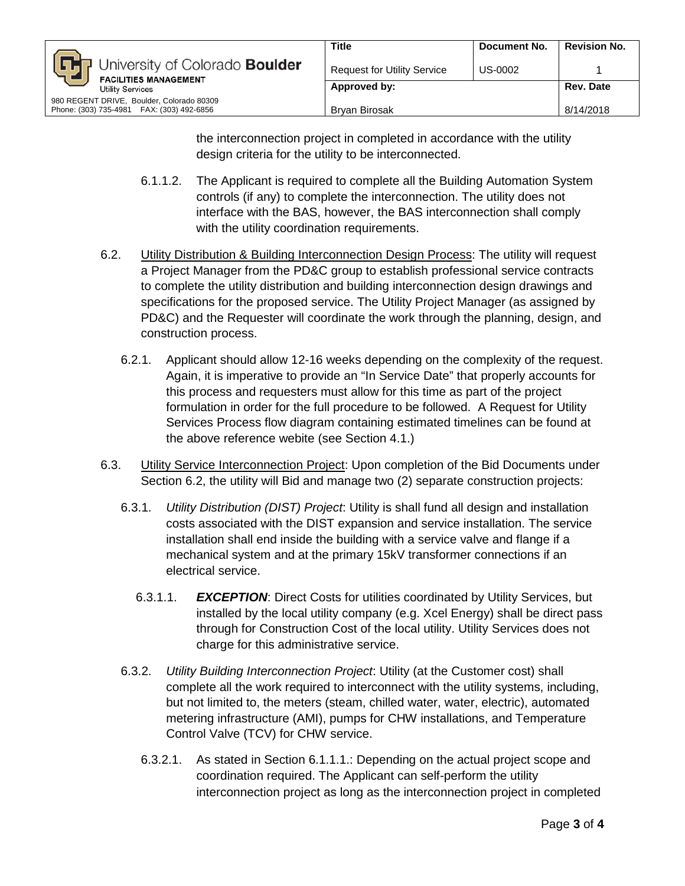the interconnection project in completed in accordance with the utility design criteria for the utility to be interconnected.

- 6.1.1.2. The Applicant is required to complete all the Building Automation System controls (if any) to complete the interconnection. The utility does not interface with the BAS, however, the BAS interconnection shall comply with the utility coordination requirements.
- 6.2. Utility Distribution & Building Interconnection Design Process: The utility will request a Project Manager from the PD&C group to establish professional service contracts to complete the utility distribution and building interconnection design drawings and specifications for the proposed service. The Utility Project Manager (as assigned by PD&C) and the Requester will coordinate the work through the planning, design, and construction process.
	- 6.2.1. Applicant should allow 12-16 weeks depending on the complexity of the request. Again, it is imperative to provide an "In Service Date" that properly accounts for this process and requesters must allow for this time as part of the project formulation in order for the full procedure to be followed. A Request for Utility Services Process flow diagram containing estimated timelines can be found at the above reference webite (see Section 4.1.)
- 6.3. Utility Service Interconnection Project: Upon completion of the Bid Documents under Section 6.2, the utility will Bid and manage two (2) separate construction projects:
	- 6.3.1. *Utility Distribution (DIST) Project*: Utility is shall fund all design and installation costs associated with the DIST expansion and service installation. The service installation shall end inside the building with a service valve and flange if a mechanical system and at the primary 15kV transformer connections if an electrical service.
		- 6.3.1.1. *EXCEPTION*: Direct Costs for utilities coordinated by Utility Services, but installed by the local utility company (e.g. Xcel Energy) shall be direct pass through for Construction Cost of the local utility. Utility Services does not charge for this administrative service.
	- 6.3.2. *Utility Building Interconnection Project*: Utility (at the Customer cost) shall complete all the work required to interconnect with the utility systems, including, but not limited to, the meters (steam, chilled water, water, electric), automated metering infrastructure (AMI), pumps for CHW installations, and Temperature Control Valve (TCV) for CHW service.
		- 6.3.2.1. As stated in Section 6.1.1.1.: Depending on the actual project scope and coordination required. The Applicant can self-perform the utility interconnection project as long as the interconnection project in completed